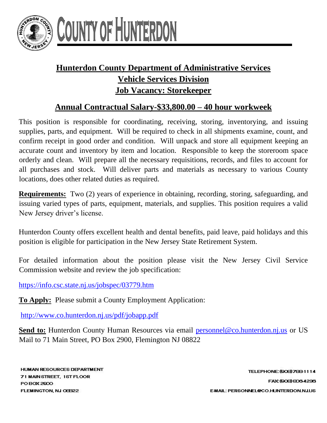

## COUNTY OF HUNTERD

## **Hunterdon County Department of Administrative Services Vehicle Services Division Job Vacancy: Storekeeper**

## **Annual Contractual Salary-\$33,800.00 – 40 hour workweek**

This position is responsible for coordinating, receiving, storing, inventorying, and issuing supplies, parts, and equipment. Will be required to check in all shipments examine, count, and confirm receipt in good order and condition. Will unpack and store all equipment keeping an accurate count and inventory by item and location. Responsible to keep the storeroom space orderly and clean. Will prepare all the necessary requisitions, records, and files to account for all purchases and stock. Will deliver parts and materials as necessary to various County locations, does other related duties as required.

**Requirements:** Two (2) years of experience in obtaining, recording, storing, safeguarding, and issuing varied types of parts, equipment, materials, and supplies. This position requires a valid New Jersey driver's license.

Hunterdon County offers excellent health and dental benefits, paid leave, paid holidays and this position is eligible for participation in the New Jersey State Retirement System.

For detailed information about the position please visit the New Jersey Civil Service Commission website and review the job specification:

<https://info.csc.state.nj.us/jobspec/03779.htm>

**To Apply:** Please submit a County Employment Application:

<http://www.co.hunterdon.nj.us/pdf/jobapp.pdf>

**Send to:** Hunterdon County Human Resources via email personnel@co.hunterdon.nj.us or US Mail to 71 Main Street, PO Box 2900, Flemington NJ 08822

**HUMAN RESOURCES DEPARTMENT** 71 MAIN STREET, 1ST FLOOR PO BOX 2900 FLEMINGTON, NJ OEB22